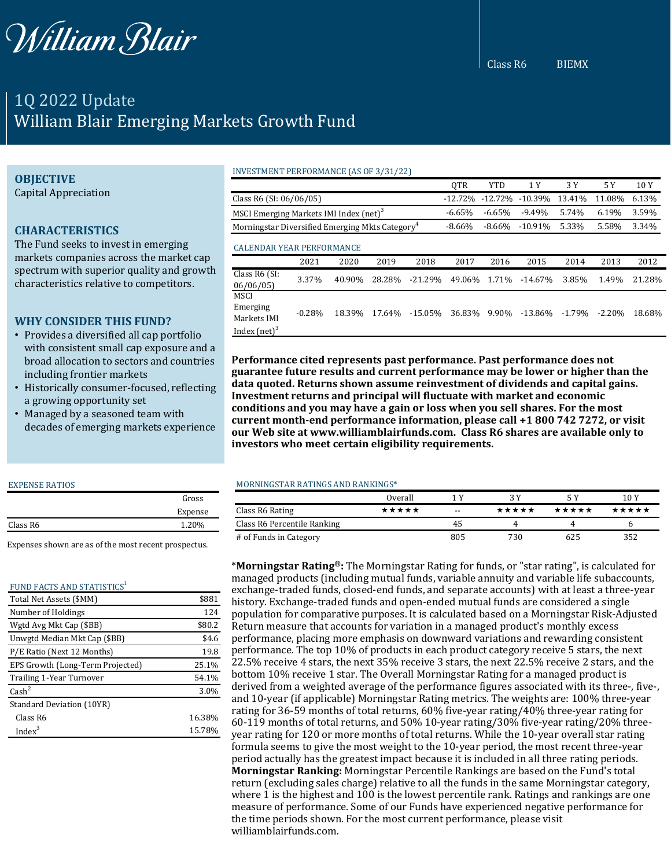

Class R6 BIEMX

# 1Q 2022 Update William Blair Emerging Markets Growth Fund

## **OBJECTIVE**

Capital Appreciation

# **CHARACTERISTICS**

The Fund seeks to invest in emerging markets companies across the market cap spectrum with superior quality and growth characteristics relative to competitors.

# **WHY CONSIDER THIS FUND?**

- Provides a diversified all cap portfolio with consistent small cap exposure and a broad allocation to sectors and countries including frontier markets
- Historically consumer-focused, reflecting a growing opportunity set
- Managed by a seasoned team with decades of emerging markets experience

#### EXPENSE RATIOS

|          | Gross   |  |
|----------|---------|--|
|          | Expense |  |
| Class R6 | 1.20%   |  |

Expenses shown are as of the most recent prospectus.

#### FUND FACTS AND STATISTICS<sup>1</sup>

| Total Net Assets (\$MM)          | \$881  |
|----------------------------------|--------|
| Number of Holdings               | 124    |
| Wgtd Avg Mkt Cap (\$BB)          | \$80.2 |
| Unwgtd Median Mkt Cap (\$BB)     | \$4.6  |
| P/E Ratio (Next 12 Months)       | 19.8   |
| EPS Growth (Long-Term Projected) | 25.1%  |
| Trailing 1-Year Turnover         | 54.1%  |
| $\text{Cash}^2$                  | 3.0%   |
| Standard Deviation (10YR)        |        |
| Class R6                         | 16.38% |
| $Index^3$                        | 15.78% |

#### INVESTMENT PERFORMANCE (AS OF 3/31/22)

|                                                             |          |        |           |            | QTR       | <b>YTD</b> | 1 Y       | 3 Y      | 5 Y      | 10Y    |
|-------------------------------------------------------------|----------|--------|-----------|------------|-----------|------------|-----------|----------|----------|--------|
| Class R6 (SI: 06/06/05)                                     |          |        | $-12.72%$ | $-12.72%$  | $-10.39%$ | 13.41%     | 11.08%    | 6.13%    |          |        |
| MSCI Emerging Markets IMI Index (net) <sup>3</sup>          |          |        | $-6.65%$  | $-6.65%$   | $-9.49%$  | 5.74%      | 6.19%     | 3.59%    |          |        |
| Morningstar Diversified Emerging Mkts Category <sup>4</sup> |          |        | $-8.66%$  | $-8.66%$   | $-10.91%$ | 5.33%      | 5.58%     | 3.34%    |          |        |
| <b>CALENDAR YEAR PERFORMANCE</b>                            |          |        |           |            |           |            |           |          |          |        |
|                                                             | 2021     | 2020   | 2019      | 2018       | 2017      | 2016       | 2015      | 2014     | 2013     | 2012   |
| Class R6 (SI:<br>06/06/05                                   | 3.37%    | 40.90% | 28.28%    | $-21.29%$  | 49.06%    | 1.71%      | $-14.67%$ | 3.85%    | 1.49%    | 21.28% |
| <b>MSCI</b><br>Emerging<br>Markets IMI<br>Index $(net)^3$   | $-0.28%$ | 18.39% | 17.64%    | $-15.05\%$ | 36.83%    | 9.90%      | $-13.86%$ | $-1.79%$ | $-2.20%$ | 18.68% |

**Performance cited represents past performance. Past performance does not guarantee future results and current performance may be lower or higher than the data quoted. Returns shown assume reinvestment of dividends and capital gains. Investment returns and principal will fluctuate with market and economic conditions and you may have a gain or loss when you sell shares. For the most current month-end performance information, please call +1 800 742 7272, or visit our Web site at www.williamblairfunds.com. Class R6 shares are available only to investors who meet certain eligibility requirements.**

#### MORNINGSTAR RATINGS AND RANKINGS\*

|                             | Overall |       |       |       | 10 Y  |  |
|-----------------------------|---------|-------|-------|-------|-------|--|
| Class R6 Rating             | *****   | $- -$ | ***** | ***** | ***** |  |
| Class R6 Percentile Ranking |         | 45    |       | Д.    | h     |  |
| # of Funds in Category      |         | 805   | 730   | 625   | 352   |  |

\***Morningstar Rating®:** The Morningstar Rating for funds, or "star rating", is calculated for managed products (including mutual funds, variable annuity and variable life subaccounts, exchange-traded funds, closed-end funds, and separate accounts) with at least a three-year history. Exchange-traded funds and open-ended mutual funds are considered a single population for comparative purposes. It is calculated based on a Morningstar Risk-Adjusted Return measure that accounts for variation in a managed product's monthly excess performance, placing more emphasis on downward variations and rewarding consistent performance. The top 10% of products in each product category receive 5 stars, the next 22.5% receive 4 stars, the next 35% receive 3 stars, the next 22.5% receive 2 stars, and the bottom 10% receive 1 star. The Overall Morningstar Rating for a managed product is derived from a weighted average of the performance figures associated with its three-, five-, and 10-year (if applicable) Morningstar Rating metrics. The weights are: 100% three-year rating for 36-59 months of total returns, 60% five-year rating/40% three-year rating for 60-119 months of total returns, and 50% 10-year rating/30% five-year rating/20% threeyear rating for 120 or more months of total returns. While the 10-year overall star rating formula seems to give the most weight to the 10-year period, the most recent three-year period actually has the greatest impact because it is included in all three rating periods. **Morningstar Ranking:** Morningstar Percentile Rankings are based on the Fund's total return (excluding sales charge) relative to all the funds in the same Morningstar category, where 1 is the highest and 100 is the lowest percentile rank. Ratings and rankings are one measure of performance. Some of our Funds have experienced negative performance for the time periods shown. For the most current performance, please visit williamblairfunds.com.